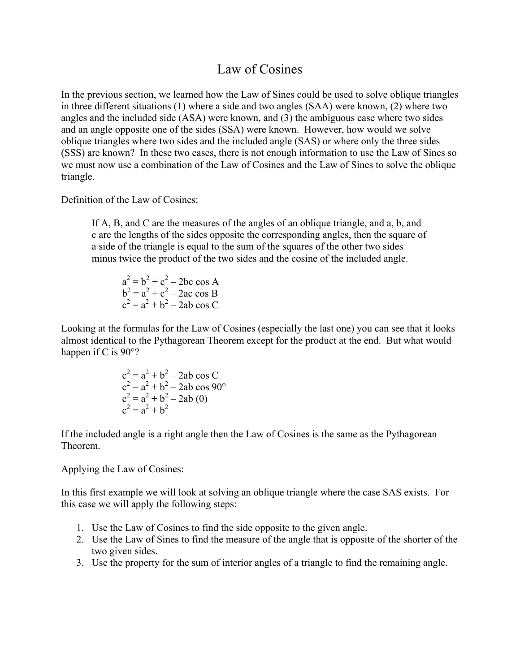## Law of Cosines

In the previous section, we learned how the Law of Sines could be used to solve oblique triangles in three different situations (1) where a side and two angles (SAA) were known, (2) where two angles and the included side (ASA) were known, and (3) the ambiguous case where two sides and an angle opposite one of the sides (SSA) were known. However, how would we solve oblique triangles where two sides and the included angle (SAS) or where only the three sides (SSS) are known? In these two cases, there is not enough information to use the Law of Sines so we must now use a combination of the Law of Cosines and the Law of Sines to solve the oblique triangle.

Definition of the Law of Cosines:

If A, B, and C are the measures of the angles of an oblique triangle, and a, b, and c are the lengths of the sides opposite the corresponding angles, then the square of a side of the triangle is equal to the sum of the squares of the other two sides minus twice the product of the two sides and the cosine of the included angle.

 $a^2 = b^2 + c^2 - 2bc \cos A$  $b^2 = a^2 + c^2 - 2ac \cos B$  $c^2 = a^2 + b^2 - 2ab \cos C$ 

Looking at the formulas for the Law of Cosines (especially the last one) you can see that it looks almost identical to the Pythagorean Theorem except for the product at the end. But what would happen if C is 90<sup>o</sup>?

$$
c2 = a2 + b2 - 2ab \cos C
$$
  
\n
$$
c2 = a2 + b2 - 2ab \cos 90^{\circ}
$$
  
\n
$$
c2 = a2 + b2 - 2ab (0)
$$
  
\n
$$
c2 = a2 + b2
$$

If the included angle is a right angle then the Law of Cosines is the same as the Pythagorean Theorem.

Applying the Law of Cosines:

In this first example we will look at solving an oblique triangle where the case SAS exists. For this case we will apply the following steps:

- 1. Use the Law of Cosines to find the side opposite to the given angle.
- 2. Use the Law of Sines to find the measure of the angle that is opposite of the shorter of the two given sides.
- 3. Use the property for the sum of interior angles of a triangle to find the remaining angle.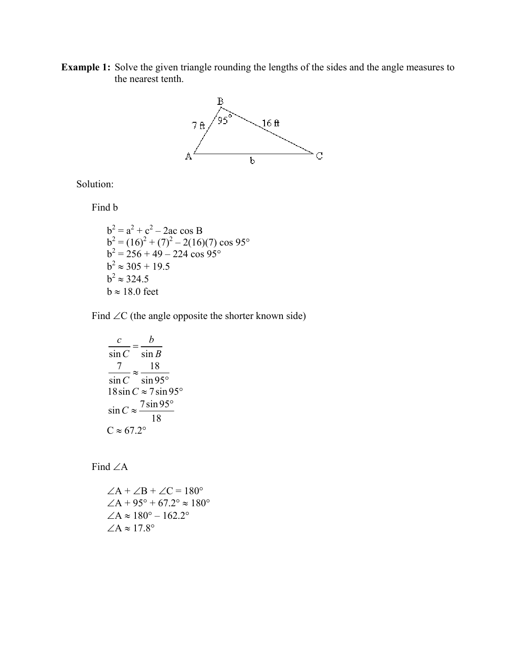**Example 1:** Solve the given triangle rounding the lengths of the sides and the angle measures to the nearest tenth.



Solution:

Find b

$$
b2 = a2 + c2 - 2ac cos B
$$
  
\n
$$
b2 = (16)2 + (7)2 - 2(16)(7) cos 95°
$$
  
\n
$$
b2 = 256 + 49 - 224 cos 95°
$$
  
\n
$$
b2 \approx 305 + 19.5
$$
  
\n
$$
b2 \approx 324.5
$$
  
\n
$$
b \approx 18.0 \text{ feet}
$$

Find  $\angle C$  (the angle opposite the shorter known side)

$$
\frac{c}{\sin C} = \frac{b}{\sin B}
$$
  

$$
\frac{7}{\sin C} \approx \frac{18}{\sin 95^\circ}
$$
  

$$
18 \sin C \approx 7 \sin 95^\circ
$$
  

$$
\sin C \approx \frac{7 \sin 95^\circ}{18}
$$
  

$$
C \approx 67.2^\circ
$$

Find  $\angle A$ 

$$
\angle A + \angle B + \angle C = 180^{\circ}
$$
  
\n
$$
\angle A + 95^{\circ} + 67.2^{\circ} \approx 180^{\circ}
$$
  
\n
$$
\angle A \approx 180^{\circ} - 162.2^{\circ}
$$
  
\n
$$
\angle A \approx 17.8^{\circ}
$$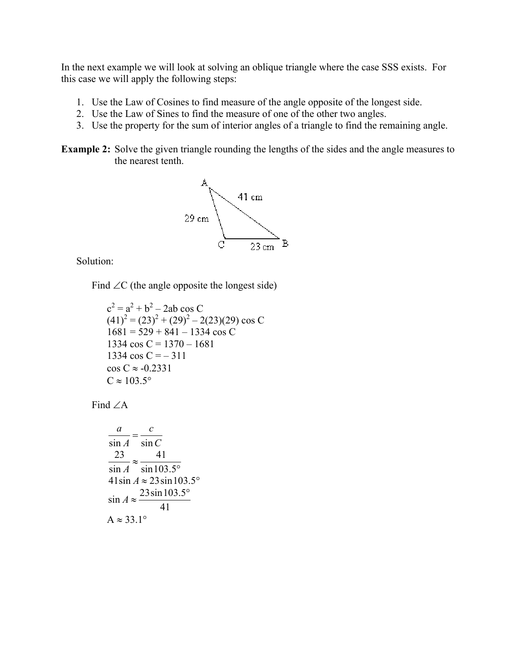In the next example we will look at solving an oblique triangle where the case SSS exists. For this case we will apply the following steps:

- 1. Use the Law of Cosines to find measure of the angle opposite of the longest side.
- 2. Use the Law of Sines to find the measure of one of the other two angles.
- 3. Use the property for the sum of interior angles of a triangle to find the remaining angle.

**Example 2:** Solve the given triangle rounding the lengths of the sides and the angle measures to the nearest tenth.



Solution:

Find  $\angle C$  (the angle opposite the longest side)

 $c^2 = a^2 + b^2 - 2ab \cos C$  $(41)^{2} = (23)^{2} + (29)^{2} - 2(23)(29) \cos C$  $1681 = 529 + 841 - 1334 \cos C$ 1334 cos C =  $1370 - 1681$ 1334  $\cos C = -311$  $\cos C \approx -0.2331$  $C \approx 103.5^\circ$ 

Find ∠A

$$
\frac{a}{\sin A} = \frac{c}{\sin C}
$$
  

$$
\frac{23}{\sin A} \approx \frac{41}{\sin 103.5^{\circ}}
$$
  

$$
41 \sin A \approx 23 \sin 103.5^{\circ}
$$
  

$$
\sin A \approx \frac{23 \sin 103.5^{\circ}}{41}
$$
  
A  $\approx 33.1^{\circ}$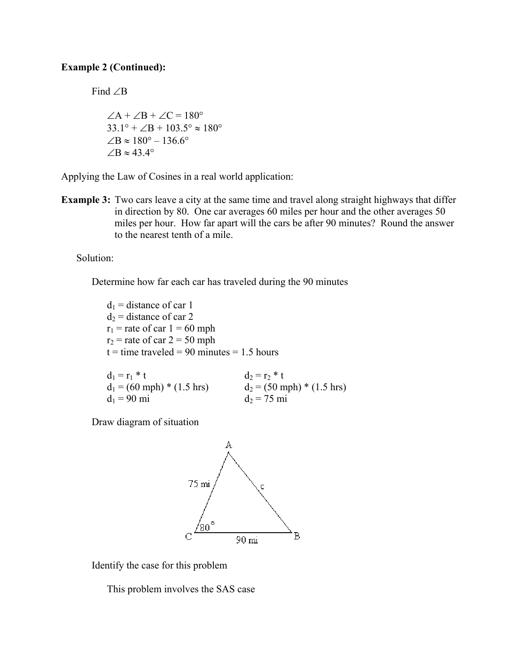## **Example 2 (Continued):**

Find ∠B

 $\angle A + \angle B + \angle C = 180^\circ$  $33.1^\circ + \angle B + 103.5^\circ \approx 180^\circ$  $∠B \approx 180^\circ - 136.6^\circ$  $\angle B \approx 43.4^\circ$ 

Applying the Law of Cosines in a real world application:

**Example 3:** Two cars leave a city at the same time and travel along straight highways that differ in direction by 80. One car averages 60 miles per hour and the other averages 50 miles per hour. How far apart will the cars be after 90 minutes? Round the answer to the nearest tenth of a mile.

Solution:

Determine how far each car has traveled during the 90 minutes

 $d_1$  = distance of car 1  $d_2$  = distance of car 2  $r_1$  = rate of car  $1 = 60$  mph  $r_2$  = rate of car 2 = 50 mph  $t =$  time traveled = 90 minutes = 1.5 hours

| $d_1 = r_1 * t$              | $d_2 = r_2 * t$              |
|------------------------------|------------------------------|
| $d_1$ = (60 mph) * (1.5 hrs) | $d_2$ = (50 mph) * (1.5 hrs) |
| $d_1 = 90$ mi                | $d_2 = 75$ mi                |

Draw diagram of situation



Identify the case for this problem

This problem involves the SAS case